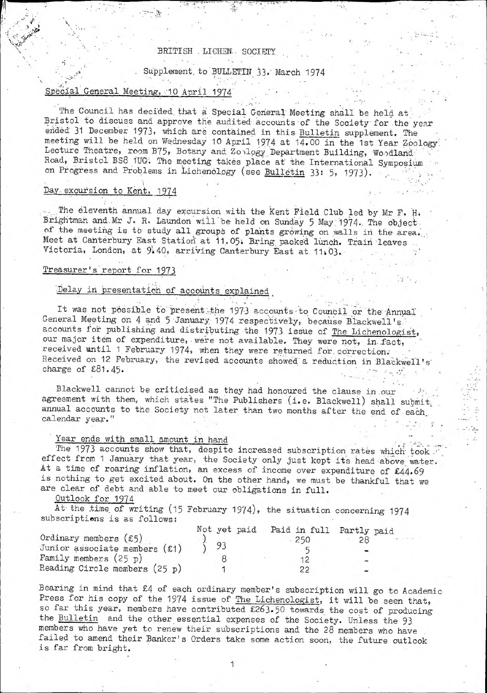### BRITISH . LICHEN. SOCIETY

Supplement to BULLETIN 33. March 1974

## Special General Meeting, 10 April 1974

The Council has decided that a Special General Meeting shall be held at Bristol to discuss and approve the audited accounts of the Society for the year ended 31 December 1973, which are contained in this Bulletin supplement. The meeting will be held on Wednesday 10 April 1974 at 14.00 in the 1st Year Zoology: Lecture Theatre, room B75, Botany and Zoology Department Building, Woodland Road, Bristol BS8 1UG. The meeting takes place at the International Symposium on Progress and Problems in Lichenology (see Bulletin 33: 5, 1973).

#### Day excursion to Kent, 1974

The eleventh annual day excursion with the Kent Field Club led by Mr F. H. Brightman and Mr J. R. Laundon will be held on Sunday 5 May: 1974. The object of the meeting is to study all groups of plants growing on walls in the area. Meet at Canterbury East Station at 11.05; Bring packed lunch. Train leaves Victoria, London, at 9:40, arriving Canterbury East at 11:03.

#### Treasurer's report for 1973

## Delay in presentation of accounts explained

It was not possible to present the 1973 accounts to Council or the Annual General Meeting on 4 and 5 January 1974 respectively, because Blackwell's accounts for publishing and distributing the 1973 issue of The Lichenologist, our major item of expenditure, were not available. They were not, in fact, received until 1 February 1974, when they were returned for. correction; Received on 12 February, the revised accounts showed" a reduction in Blackwell's' charge of £81.45\* » » i. .f' »3 1 *'m*

Blackwell cannot be criticised as they had honoured the clause in .our agreement with them, which states "The Publishers (i.e. Blackwell) shall submit, annual accounts to the Society not later than two months after the end of each calendar year."

## Year ends with small amount in hand

The 1973 accounts show that, despite increased subscription rates which took. effect from 1 January that year, the Society only just kept its head'above water. At a time of roaring inflation, an excess of income over expenditure of £44.69 is nothing to get excited about. On the other hand, we must be thankful that we are clear of debt and able to meet our obligations in full.

## Outlook for 1974

At the time of writing (15 February 1974), the situation concerning 1974 subscriptiens is as follows:

| Ordinary members $(5)$<br>Junior associate members $(£1)$ | Not yet paid Paid in full Partly paid |  |
|-----------------------------------------------------------|---------------------------------------|--|
| Family members $(25 p)$                                   |                                       |  |
| Reading Circle members $(25 p)$                           |                                       |  |

Bearing in mind that £4 of each ordinary member's subscription will go to Academic Press for his copy of the 1974 issue of The Lichenologist, it will be seen that, so far this year, members have contributed £263-50 towards the cost of producing the Bulletin and the other essential expenses of the Society. Unless the 93 members who have yet to renew their subscriptions and the 28 members who have failed to amend their Banker's Orders take some action soon, the future outlook is far from bright.

1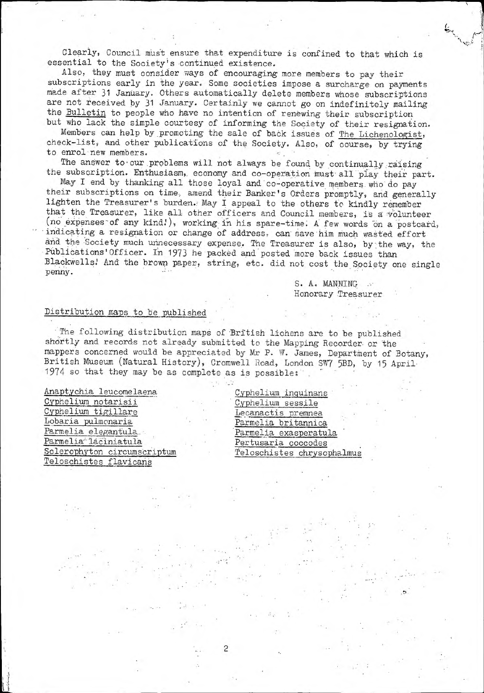Clearly, Council must ensure that expenditure is confined to that which is essential to the Society's continued existence.

Also, they must consider ways of encouraging more members to pay their subscriptions early in the year. Some societies impose a surcharge on payments made after 31 January. Others automatically delete members whose subscriptions are not received by 31 January. Certainly we cannot go on indefinitely mailing the Bulletin to people who have no intention of renewing their subscription but who lack the simple courtesy of informing the Society of their resignation.

Members can help by promoting the sale of back issues of The Lichenologist, check-list, and other publications of the Society. Also, of course, by trying to enrol new members.

The answer to our problems will not always be found by continually raising the subscription. Enthusiasm, economy and co-operation must all play their part.

May I end by thanking all those loyal and'co-operative members, who'do pay their subscriptions on time, amend their Banker's Orders promptly, and generally lighten the Treasurer's burden. May I appeal to the others to kindly remember that the Treasurer, like all other officers and Council members, is a Volunteer (no expenses of any kind!), working in his spare-time. A few words on a postcard, indicating a resignation or change of address, can save him much wasted effort and the Society much unnecessary expense. The Treasurer is also, by the way, the Publications'Officer. In 1973 he packed and posted more back issues than Blackwells! And the brown paper, string, etc. did not cost the Society one single penny.

> S. A. MANNING ... Honorary Treasurer

o

•5N */■r^r*

'i

#### Distribution maps to be published

The following distribution maps of British lichens are to be published shortly and records not already submitted to the Mapping Recorder- or the mappers concerned would be appreciated by Mr P. W. James, Department of Botany, British Museum (Natural History), Cromwell Road, London SW? 5BD, by 15 April 1974 so that they may be as complete as is possible;

 $\overline{c}$ 

Anaptychia leucomelaena Cyphelium notarisii Cyphelium tigillare Lobaria pulmonaria Parmelia elegantula. Parmelia laciniatula Sclerophyton circumscriptum Teloschistes flavicans

Cyphelium inquinans Cyphelium sessile Lecanactis premnea Parmelia britannica Parmelia exasperatula Pertusaria coccodes Teloschistes chrysophalmus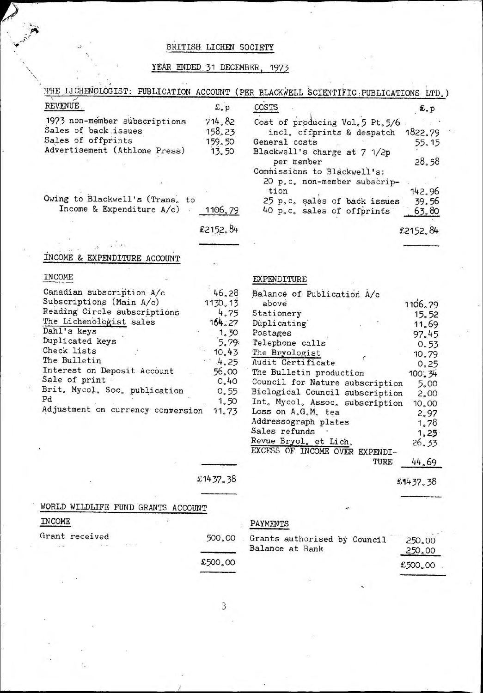## **BRITISH: LICHEN SOCIETY**

# **YEAR ENDED,31 DECEMBER,** 1973

| REVENUE                            | £.p      | COSTS                                       | £.p      |
|------------------------------------|----------|---------------------------------------------|----------|
| 1973 non-member subscriptions      | 714.82   |                                             |          |
| Sales of back issues               | 158.23   | Cost of producing Vol.5 Pt.5/6              |          |
| Sales of offprints                 | 159.50   | incl. offprints & despatch<br>General costs | 1822.79  |
| Advertisement (Athlone Press)      | 13.50    |                                             | 55.15    |
|                                    |          | Blackwell's charge at 7 1/2p<br>per member  | 28.58    |
|                                    |          | Commissions to Blackwell's:                 |          |
|                                    |          | 20 p.c. non-member subscrip-                |          |
| Owing to Blackwell's (Trans, to    |          | tion                                        | 142.96   |
| Income & Expenditure A/c)          |          | 25 p.c. sales of back issues                | 39.56    |
|                                    | 1106.79  | 40 p.c. sales of offprints                  | 63.80    |
|                                    | £2152.84 |                                             | £2152.84 |
|                                    |          |                                             |          |
| INCOME & EXPENDITURE ACCOUNT       |          |                                             |          |
| INCOME                             |          | EXPENDITURE                                 |          |
| Canadian subscription A/c          | 46.28    | Balance of Publication A/c                  |          |
| Subscriptions (Main A/c)           | 1130.13  | above                                       | 1106.79  |
| Reading Circle subscriptions       | 4.75     | Stationery                                  | 15.52    |
| The Lichenologist sales            | 164.27   | Duplicating                                 | 11.69    |
| Dahl's keys                        | 1.30     | Postages                                    |          |
| Duplicated keys                    | 5.79     | Telephone calls                             | 97.45    |
| Check lists                        | 10.43    | The Bryologist                              | 0.53     |
| The Bulletin                       | 4.25     | Audit Certificate                           | 10.79    |
| Interest on Deposit Account        | 56.00    | The Bulletin production                     | 0.25     |
| Sale of print.                     | 0,40     | Council for Nature subscription             | 100.34   |
| Brit. Mycol. Soc. publication      | 0.55     | Biological Council subscription             | 5.00     |
| $_{\rm Pd}$                        | 1.50     | Int. Mycol. Assoc. subscription             | 2,00     |
| Adjustment on currency conversion  | 11.73    | Loss on A.G.M. tea                          | 10,00    |
|                                    |          |                                             | 2.97     |
|                                    |          | Addressograph plates<br>Sales refunds       | 1.78     |
|                                    |          | Revue Bryol, et Lich.                       | 1, 25    |
|                                    |          | EXCESS OF INCOME OVER EXPENDI-              | 26.33    |
|                                    |          | TURE                                        | 44.69    |
|                                    | £1437.38 |                                             | £1437.38 |
|                                    |          |                                             |          |
| WORLD WILDLIFE FUND GRANTS ACCOUNT |          |                                             |          |
| INCOME                             |          | PAYMENTS                                    |          |
| Grant received                     | 500.00   | Grants authorised by Council                | 250,00   |
|                                    |          | Balance at Bank                             | 250.00   |
|                                    | £500.00  |                                             | £500.00  |